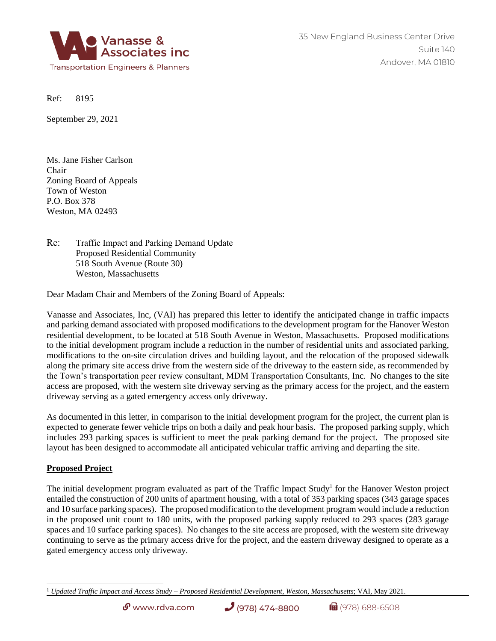

Ref: 8195

September 29, 2021

Ms. Jane Fisher Carlson Chair Zoning Board of Appeals Town of Weston P.O. Box 378 Weston, MA 02493

Re: Traffic Impact and Parking Demand Update Proposed Residential Community 518 South Avenue (Route 30) Weston, Massachusetts

Dear Madam Chair and Members of the Zoning Board of Appeals:

Vanasse and Associates, Inc, (VAI) has prepared this letter to identify the anticipated change in traffic impacts and parking demand associated with proposed modifications to the development program for the Hanover Weston residential development, to be located at 518 South Avenue in Weston, Massachusetts. Proposed modifications to the initial development program include a reduction in the number of residential units and associated parking, modifications to the on-site circulation drives and building layout, and the relocation of the proposed sidewalk along the primary site access drive from the western side of the driveway to the eastern side, as recommended by the Town's transportation peer review consultant, MDM Transportation Consultants, Inc. No changes to the site access are proposed, with the western site driveway serving as the primary access for the project, and the eastern driveway serving as a gated emergency access only driveway.

As documented in this letter, in comparison to the initial development program for the project, the current plan is expected to generate fewer vehicle trips on both a daily and peak hour basis. The proposed parking supply, which includes 293 parking spaces is sufficient to meet the peak parking demand for the project. The proposed site layout has been designed to accommodate all anticipated vehicular traffic arriving and departing the site.

# **Proposed Project**

The initial development program evaluated as part of the Traffic Impact Study<sup>1</sup> for the Hanover Weston project entailed the construction of 200 units of apartment housing, with a total of 353 parking spaces (343 garage spaces and 10 surface parking spaces). The proposed modification to the development program would include a reduction in the proposed unit count to 180 units, with the proposed parking supply reduced to 293 spaces (283 garage spaces and 10 surface parking spaces). No changes to the site access are proposed, with the western site driveway continuing to serve as the primary access drive for the project, and the eastern driveway designed to operate as a gated emergency access only driveway.

<sup>1</sup> *Updated Traffic Impact and Access Study – Proposed Residential Development*, *Weston, Massachusetts*; VAI, May 2021.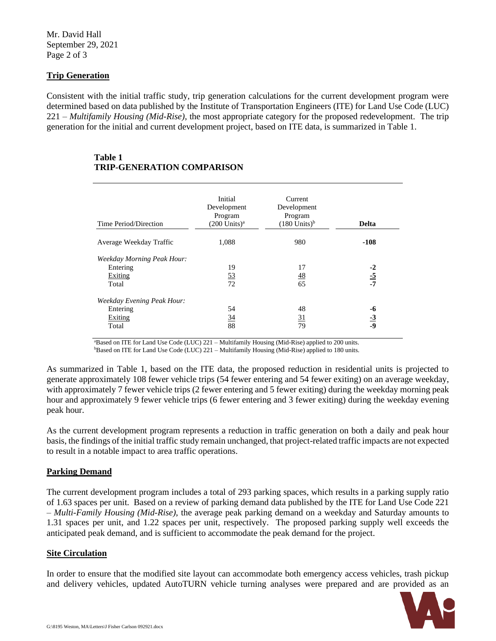Mr. David Hall September 29, 2021 Page 2 of 3

## **Trip Generation**

Consistent with the initial traffic study, trip generation calculations for the current development program were determined based on data published by the Institute of Transportation Engineers (ITE) for Land Use Code (LUC) 221 – *Multifamily Housing (Mid-Rise)*, the most appropriate category for the proposed redevelopment. The trip generation for the initial and current development project, based on ITE data, is summarized in Table 1.

### **Table 1 TRIP-GENERATION COMPARISON**

| Time Period/Direction             | Initial<br>Development<br>Program<br>$(200$ Units) <sup>a</sup> | Current<br>Development<br>Program<br>$(180$ Units) <sup>b</sup> | <b>Delta</b>    |
|-----------------------------------|-----------------------------------------------------------------|-----------------------------------------------------------------|-----------------|
| Average Weekday Traffic           | 1,088                                                           | 980                                                             | $-108$          |
| <b>Weekday Morning Peak Hour:</b> |                                                                 |                                                                 |                 |
| Entering                          | 19                                                              | 17                                                              | $-2$            |
| Exiting                           | <u>53</u>                                                       | <u>48</u>                                                       | $\frac{-5}{-7}$ |
| Total                             | 72                                                              | 65                                                              |                 |
| Weekday Evening Peak Hour:        |                                                                 |                                                                 |                 |
| Entering                          | 54                                                              | 48                                                              | -6              |
| Exiting                           | <u>34</u>                                                       | <u>31</u>                                                       | $\frac{-3}{-9}$ |
| Total                             | 88                                                              | 79                                                              |                 |

<sup>a</sup>Based on ITE for Land Use Code (LUC) 221 – Multifamily Housing (Mid-Rise) applied to 200 units. <sup>b</sup>Based on ITE for Land Use Code (LUC) 221 – Multifamily Housing (Mid-Rise) applied to 180 units.

As summarized in Table 1, based on the ITE data, the proposed reduction in residential units is projected to generate approximately 108 fewer vehicle trips (54 fewer entering and 54 fewer exiting) on an average weekday, with approximately 7 fewer vehicle trips (2 fewer entering and 5 fewer exiting) during the weekday morning peak hour and approximately 9 fewer vehicle trips (6 fewer entering and 3 fewer exiting) during the weekday evening peak hour.

As the current development program represents a reduction in traffic generation on both a daily and peak hour basis, the findings of the initial traffic study remain unchanged, that project-related traffic impacts are not expected to result in a notable impact to area traffic operations.

### **Parking Demand**

The current development program includes a total of 293 parking spaces, which results in a parking supply ratio of 1.63 spaces per unit. Based on a review of parking demand data published by the ITE for Land Use Code 221 – *Multi-Family Housing (Mid-Rise)*, the average peak parking demand on a weekday and Saturday amounts to 1.31 spaces per unit, and 1.22 spaces per unit, respectively. The proposed parking supply well exceeds the anticipated peak demand, and is sufficient to accommodate the peak demand for the project.

### **Site Circulation**

In order to ensure that the modified site layout can accommodate both emergency access vehicles, trash pickup and delivery vehicles, updated AutoTURN vehicle turning analyses were prepared and are provided as an